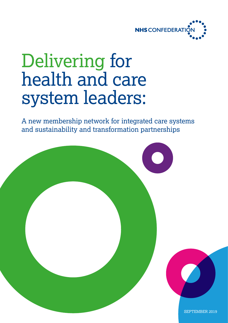

## Delivering for health and care system leaders:

A new membership network for integrated care systems and sustainability and transformation partnerships

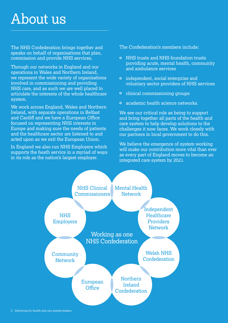### About us

The NHS Confederation brings together and speaks on behalf of organisations that plan, commission and provide NHS services.

Through our networks in England and our operations in Wales and Northern Ireland, we represent the wide variety of organisations involved in commissioning and providing NHS care, and as such we are well placed to articulate the interests of the whole healthcare system.

We work across England, Wales and Northern Ireland, with separate operations in Belfast and Cardiff and we have a European Office focused on representing NHS interests in Europe and making sure the needs of patients and the healthcare sector are listened to and acted upon as we exit the European Union.

In England we also run NHS Employers which supports the heath service in a myriad of ways in its role as the nation's largest employer.

The Confederation's members include:

- o NHS trusts and NHS foundation trusts providing acute, mental health, community and ambulance services
- independent, social enterprise and voluntary sector providers of NHS services
- **o** clinical commissioning groups
- academic health science networks.

We see our critical role as being to support and bring together all parts of the health and care system to help develop solutions to the challenges it now faces. We work closely with our partners in local government to do this.

We believe the emergence of system working will make our contribution more vital than ever as every part of England moves to become an integrated care system by 2021.

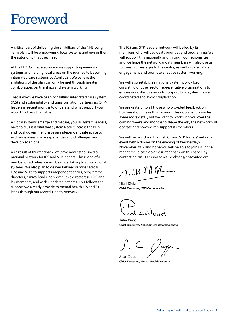### Foreword

A critical part of delivering the ambitions of the NHS Long Term plan will be empowering local systems and giving them the autonomy that they need.

At the NHS Confederation we are supporting emerging systems and helping local areas on the journey to becoming integrated care systems by April 2021. We believe the ambitions of the plan can only be met through greater collaboration, partnerships and system working.

That is why we have been consulting integrated care system (ICS) and sustainability and transformation partnership (STP) leaders in recent months to understand what support you would find most valuable.

As local systems emerge and mature, you, as system leaders, have told us it is vital that system leaders across the NHS and local government have an independent safe space to exchange ideas, share experiences and challenges, and develop solutions.

As a result of this feedback, we have now established a national network for ICS and STP leaders. This is one of a number of activities we will be undertaking to support local systems. We also plan to deliver tailored services across ICSs and STPs to support independent chairs, programme directors, clinical leads, non-executive directors (NEDs) and lay members, and wider leadership teams. This follows the support we already provide to mental health ICS and STP leads through our Mental Health Network.

The ICS and STP leaders' network will be led by its members who will decide its priorities and programme. We will support this nationally and through our regional team, and we hope the network and its members will also use us to transmit messages to the centre, as well as to facilitate engagement and promote effective system working.

We will also establish a national system policy forum consisting of other sector representative organisations to ensure our collective work to support local systems is well coordinated and avoids duplication.

We are grateful to all those who provided feedback on how we should take this forward. This document provides some more detail, but we want to work with you over the coming weeks and months to shape the way the network will operate and how we can support its members.

We will be launching the first ICS and STP leaders' network event with a dinner on the evening of Wednesday 6 November 2019 and hope you will be able to join us. In the meantime, please do give us feedback on this paper, by contacting Niall Dickson at [niall.dickson@nhsconfed.org](mailto:niall.dickson@nhsconfed.org
)

 $\bigwedge$  in FRM

Niall Dickson **Chief Executive, NHS Confederation**

ue Nord

Julie Wood **Chief Executive, NHS Clinical Commissioners**

Sean Duggan

**Chief Executive, Mental Health Network**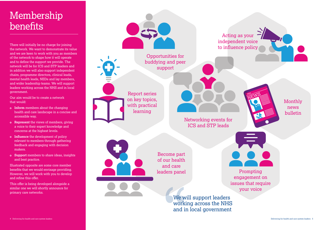### Monthly news bulletin

We will support leaders working across the NHS and in local government

Networking events for ICS and STP leads

Report series on key topics, with practical learning

> Prompting engagement on issues that require your voice

Become part of our health and care leaders panel

There will initially be no charge for joining the network. We want to demonstrate its value and we are keen to work with you as members of the network to shape how it will operate and to define the support we provide. The network will be for ICS and STP leaders and in addition we will also support independent chairs, programme directors, clinical leads, mental health leads, NEDs and lay members, and wider leadership teams. We will support leaders working across the NHS and in local government.

Our aim would be to create a network that would:

- **Inform** members about the changing health and care landscape in a concise and accessible way.
- **Represent** the views of members, giving a voice to their expert knowledge and concerns at the highest levels.
- **Influence** the development of policy relevant to members through gathering feedback and engaging with decision makers.
- **Support** members to share ideas, insights and best practice.

Illustrated opposite are some core member benefits that we would envisage providing. However, we will work with you to develop and refine this offer.

This offer is being developed alongside a similar one we will shortly announce for primary care networks.

### Membership benefits





Opportunities for buddying and peer support

Acting as your independent voice to influence policy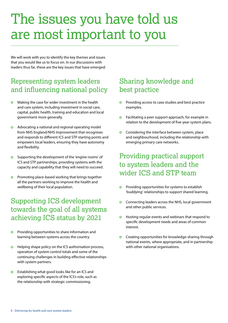### The issues you have told us are most important to you

We will work with you to identify the key themes and issues that you would like us to focus on. In our discussions with leaders thus far, these are the key issues that have emerged:

### Representing system leaders and influencing national policy

- $\bullet$ Making the case for wider investment in the health and care system, including investment in social care, capital, public health, training and education and local government more generally.
- **O** Advocating a national and regional operating model from NHS England/NHS Improvement that recognises and responds to different ICS and STP starting points and empowers local leaders, ensuring they have autonomy and flexibility.
- Supporting the development of the 'engine rooms' of  $\Omega$ ICS and STP partnerships, providing systems with the capacity and capability that they will need to succeed.
- $\bullet$ Promoting place-based working that brings together all the partners working to improve the health and wellbeing of their local population.

#### Supporting ICS development towards the goal of all systems achieving ICS status by 2021

- Providing opportunities to share information and  $\bullet$ learning between systems across the country.
- Helping shape policy on the ICS authorisation process,  $\bullet$ operation of system control totals and some of the continuing challenges in building effective relationships with system partners.
- $\bullet$ Establishing what good looks like for an ICS and exploring specific aspects of the ICS's role, such as the relationship with strategic commissioning.

### Sharing knowledge and best practice

- Providing access to case studies and best practice examples.
- $\bullet$ Facilitating a peer support approach, for example in relation to the development of five-year system plans.
- **o** Considering the interface between system, place and neighbourhood, including the relationship with emerging primary care networks.

### Providing practical support to system leaders and the wider ICS and STP team

- $\bullet$ Providing opportunities for systems to establish 'buddying' relationships to support shared learning.
- $\bullet$ Connecting leaders across the NHS, local government and other public services.
- Hosting regular events and webinars that respond to  $\bullet$ specific development needs and areas of common interest.
- **O** Creating opportunities for knowledge-sharing through national events, where appropriate, and in partnership with other national organisations.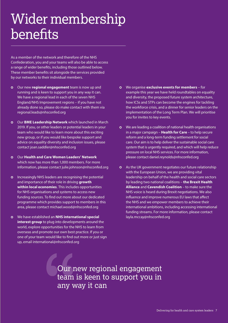### Wider membership benefits

As a member of the network and therefore of the NHS Confederation, you and your teams will also be able to access a range of wider benefits, including those outlined below. These member benefits sit alongside the services provided by our networks to their individual members.

- Our new **regional engagement** team is now up and running and is keen to support you in any way it can. We have a regional lead in each of the seven NHS England/NHS Improvement regions – if you have not already done so, please do make contact with them via [regional.leads@nhsconfed.org](mailto:regional.leads@nhsconfed.org)
- Our **BME Leadership Network** which launched in March 2019. If you, or other leaders or potential leaders in your team who would like to learn more about this exciting new group, or if you would like bespoke support and advice on equality diversity and inclusion issues, please contact [joan.saddler@nhsconfed.org](mailto:joan.saddler@nhsconfed.org)
- Our **Health and Care Women Leaders' Network** which now has more than 1,000 members. For more information, please contact [julie.johnson@nhsconfed.org](mailto:julie.johnson@nhsconfed.org)
- **O** Increasingly NHS leaders are recognising the potential and importance of their role in driving **growth within local economies**. This includes opportunities for NHS organisations and systems to access new funding sources. To find out more about our dedicated programme which provides support to members in this area, please contact [michael.wood@nhsconfed.org](mailto:michael.wood@nhsconfed.org)
- We have established an **NHS international special interest group** to plug into developments around the world, explore opportunities for the NHS to learn from overseas and promote our own best practice. If you or one of your team would like to find out more or just sign up, email [international@nhsconfed.org](mailto:international@nhsconfed.org)
- We organise **exclusive events for members** for example this year we have held roundtables on equality and diversity, the proposed future system architecture, how ICSs and STPs can become the engines for tackling the workforce crisis, and a dinner for senior leaders on the implementation of the Long Term Plan. We will prioritise you for invites to key events.
- We are leading a coalition of national health organisations in a major campaign – **Health for Care** – to help secure reform and a long-term funding settlement for social care. Our aim is to help deliver the sustainable social care system that is urgently required, and which will help reduce pressure on local NHS services. For more information, please contact [daniel.reynolds@nhsconfed.org](mailto:daniel.reynolds@nhsconfed.org)
- As the UK government negotiates our future relationship with the European Union, we are providing vital leadership on behalf of the health and social care sectors by leading two national coalitions – **the Brexit Health Alliance** and **Cavendish Coalition** – to make sure the NHS voice is heard during Brexit negotiations. We also influence and improve numerous EU laws that affect the NHS and we empower members to achieve their international ambitions, including accessing international funding streams. For more information, please contact [layla.mccay@nhsconfed.org](mailto:layla.mccay@nhsconfed.org)

Our new regional engagement team is keen to support you in any way it can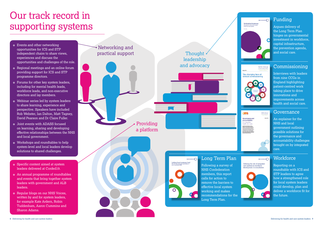- Events and other networking opportunities for ICS and STP independent chairs to share views, experiences and discuss the opportunities and challenges of the role.
- Regional meetings and an online forum providing support for ICS and STP programme directors.
- Forums for other key system leaders, including for mental health leads, workforce leads, and non-executive directors and lay members.
- Webinar series led by system leaders to share learning, experience and perspective. Speakers have included Rob Webster, Ian Dalton, Matt Tagney, David Pearson and Dr Claire Fuller.
- Joint events with ADASS focused on learning, sharing and developing effective relationships between the NHS and local government.
- Workshops and roundtables to help system-level and local leaders develop solutions to shared challenges.
- Specific content aimed at system leaders delivered at Confed19.
- An annual programme of roundtables and events that bring together system leaders with government and ALB leaders.
- o Regular blogs on our NHS Voices, written by and for system leaders, for example Kate Ardern, Robin Tuddenham, Aaron Cummins and Sharon Adams.

8 Delivering for health and care system leaders

### Our track record in supporting systems

#### Funding

Argues delivery of the Long Term Plan hinges on governmental investment in workforce, capital infrastructure, the prevention agenda, and social care.

# **NHS Clinical** The changing face of



#### Commissioning

Interviews with leaders from nine CCGs in England highlighting patient-centred work taking place to drive innovations and improvements across health and social care.



#### Governance

An explainer for the NHS and local government outlining possible solutions for the governance and accountability challenges brought on by integrated care.

#### **Workforce**

Reporting on a roundtable with ICS and STP leaders to agree how a strengthened role for local system leaders could develop, plan and deliver a workforce fit for the future.



NHS Confederation members, this report calls for action to remove the barriers to effective local system working and makes recommendations for the Long Term Plan.

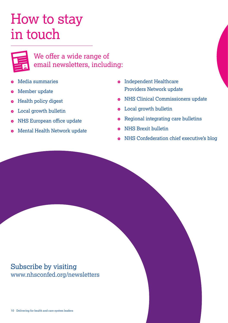### How to stay in touch



#### We offer a wide range of email newsletters, including:

- Media summaries
- Member update
- Health policy digest  $\bullet$
- **•** Local growth bulletin
- **o** NHS European office update
- Mental Health Network update  $\bullet$
- **o** Independent Healthcare Providers Network update
- **•** NHS Clinical Commissioners update
- **•** Local growth bulletin
- **•** Regional integrating care bulletins
- **o** NHS Brexit bulletin
- NHS Confederation chief executive's blog

#### Subscribe by visiting [www.nhsconfed.org/newsletters](https://www.nhsconfed.org/resources/email-newsletters)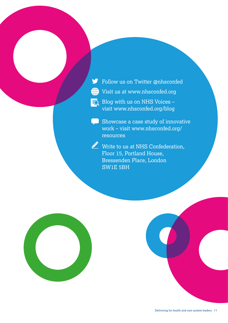- Follow us on Twitter [@nhsconfed](https://twitter.com/nhsconfed?ref_src=twsrc%5Egoogle%7Ctwcamp%5Eserp%7Ctwgr%5Eauthor)
- (iii) Visit us at [www.nhsconfed.org](http://www.nhsconfed.org)

 $E_{\text{Q}}$  Blog with us on NHS Voices – visit [www.nhsconfed.org/blog](http://www.nhsconfed.org/blog)

Showcase a case study of innovative work – visit [www.nhsconfed.org/](http://www.nhsconfed.org/resources) [resources](http://www.nhsconfed.org/resources)

Write to us at NHS Confederation, Floor 15, Portland House, Bressenden Place, London SW1E 5BH